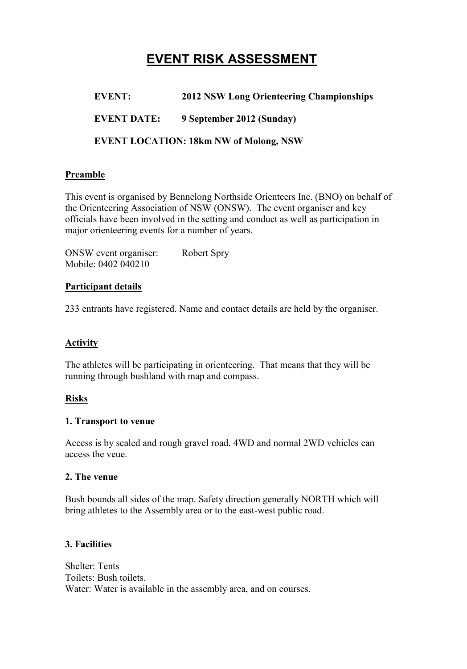# **EVENT RISK ASSESSMENT**

**EVENT: 2012 NSW Long Orienteering Championships**

**EVENT DATE: 9 September 2012 (Sunday)**

**EVENT LOCATION: 18km NW of Molong, NSW**

#### **Preamble**

This event is organised by Bennelong Northside Orienteers Inc. (BNO) on behalf of the Orienteering Association of NSW (ONSW). The event organiser and key officials have been involved in the setting and conduct as well as participation in major orienteering events for a number of years.

ONSW event organiser: Robert Spry Mobile: 0402 040210

#### **Participant details**

233 entrants have registered. Name and contact details are held by the organiser.

#### **Activity**

The athletes will be participating in orienteering. That means that they will be running through bushland with map and compass.

#### **Risks**

#### **1. Transport to venue**

Access is by sealed and rough gravel road. 4WD and normal 2WD vehicles can access the veue.

#### **2. The venue**

Bush bounds all sides of the map. Safety direction generally NORTH which will bring athletes to the Assembly area or to the east-west public road.

#### **3. Facilities**

Shelter: Tents Toilets: Bush toilets. Water: Water is available in the assembly area, and on courses.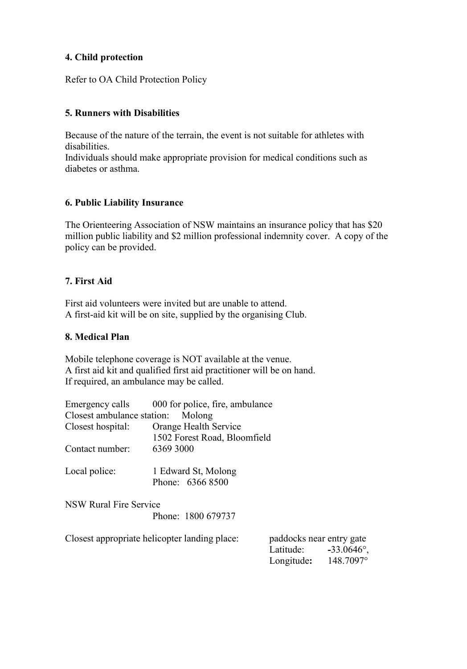#### **4. Child protection**

Refer to OA Child Protection Policy

#### **5. Runners with Disabilities**

Because of the nature of the terrain, the event is not suitable for athletes with disabilities.

Individuals should make appropriate provision for medical conditions such as diabetes or asthma.

#### **6. Public Liability Insurance**

The Orienteering Association of NSW maintains an insurance policy that has \$20 million public liability and \$2 million professional indemnity cover. A copy of the policy can be provided.

#### **7. First Aid**

First aid volunteers were invited but are unable to attend. A first-aid kit will be on site, supplied by the organising Club.

#### **8. Medical Plan**

Mobile telephone coverage is NOT available at the venue. A first aid kit and qualified first aid practitioner will be on hand. If required, an ambulance may be called.

|                                   | Emergency calls 000 for police, fire, ambulance |                       |  |  |  |
|-----------------------------------|-------------------------------------------------|-----------------------|--|--|--|
| Closest ambulance station: Molong |                                                 |                       |  |  |  |
| Closest hospital:                 | Orange Health Service                           |                       |  |  |  |
|                                   | 1502 Forest Road, Bloomfield                    |                       |  |  |  |
| Contact number:                   | 6369 3000                                       |                       |  |  |  |
| Local police:                     | 1 Edward St, Molong                             |                       |  |  |  |
|                                   | Phone: 6366 8500                                |                       |  |  |  |
| <b>NSW Rural Fire Service</b>     |                                                 |                       |  |  |  |
|                                   | Phone: 1800 679737                              |                       |  |  |  |
|                                   | Closest annropriate heliconter landing place:   | paddocks near entry c |  |  |  |

| Closest appropriate helicopter landing place: | paddocks near entry gate |                      |
|-----------------------------------------------|--------------------------|----------------------|
|                                               | Latitude:                | $-33.0646^{\circ}$ , |
|                                               | Longitude:               | 148.7097°            |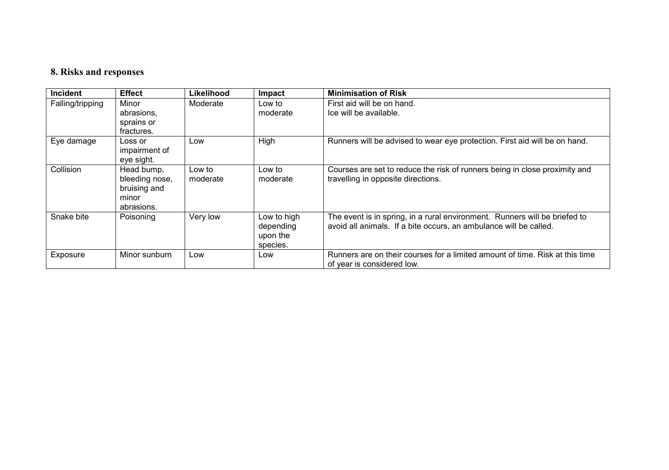## **8. Risks and responses**

| <b>Incident</b>  | <b>Effect</b>  | Likelihood | Impact      | <b>Minimisation of Risk</b>                                                  |
|------------------|----------------|------------|-------------|------------------------------------------------------------------------------|
| Falling/tripping | Minor          | Moderate   | Low to      | First aid will be on hand.                                                   |
|                  | abrasions,     |            | moderate    | Ice will be available.                                                       |
|                  | sprains or     |            |             |                                                                              |
|                  | fractures.     |            |             |                                                                              |
| Eye damage       | Loss or        | Low        | High        | Runners will be advised to wear eye protection. First aid will be on hand.   |
|                  | impairment of  |            |             |                                                                              |
|                  | eye sight.     |            |             |                                                                              |
| Collision        | Head bump,     | Low to     | Low to      | Courses are set to reduce the risk of runners being in close proximity and   |
|                  | bleeding nose, | moderate   | moderate    | travelling in opposite directions.                                           |
|                  | bruising and   |            |             |                                                                              |
|                  | minor          |            |             |                                                                              |
|                  | abrasions.     |            |             |                                                                              |
| Snake bite       | Poisoning      | Very low   | Low to high | The event is in spring, in a rural environment. Runners will be briefed to   |
|                  |                |            | depending   | avoid all animals. If a bite occurs, an ambulance will be called.            |
|                  |                |            | upon the    |                                                                              |
|                  |                |            | species.    |                                                                              |
| Exposure         | Minor sunburn  | Low        | Low         | Runners are on their courses for a limited amount of time. Risk at this time |
|                  |                |            |             | of year is considered low.                                                   |